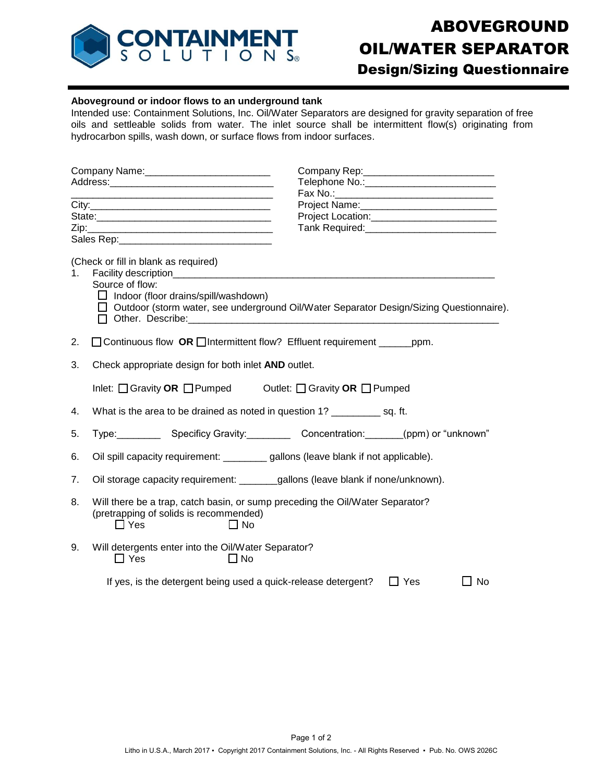

## **Aboveground or indoor flows to an underground tank**

Intended use: Containment Solutions, Inc. Oil/Water Separators are designed for gravity separation of free oils and settleable solids from water. The inlet source shall be intermittent flow(s) originating from hydrocarbon spills, wash down, or surface flows from indoor surfaces.

|    | Tank Required: Management Canada and Tank Required:                                                                                                         |  |  |
|----|-------------------------------------------------------------------------------------------------------------------------------------------------------------|--|--|
|    |                                                                                                                                                             |  |  |
| 1. | (Check or fill in blank as required)                                                                                                                        |  |  |
|    | Source of flow:<br>$\Box$ Indoor (floor drains/spill/washdown)<br>□ Outdoor (storm water, see underground Oil/Water Separator Design/Sizing Questionnaire). |  |  |
| 2. | □ Continuous flow OR □ Intermittent flow? Effluent requirement ______ ppm.                                                                                  |  |  |
| 3. | Check appropriate design for both inlet AND outlet.                                                                                                         |  |  |
|    | Inlet: O Gravity OR O Pumped Outlet: O Gravity OR O Pumped                                                                                                  |  |  |
| 4. | What is the area to be drained as noted in question 1? ______________ sq. ft.                                                                               |  |  |
| 5. | Type: Specificy Gravity: Concentration: (ppm) or "unknown"                                                                                                  |  |  |
| 6. | Oil spill capacity requirement: _________ gallons (leave blank if not applicable).                                                                          |  |  |
| 7. |                                                                                                                                                             |  |  |
| 8. | Will there be a trap, catch basin, or sump preceding the Oil/Water Separator?<br>(pretrapping of solids is recommended)<br>$\Box$ Yes<br>$\Box$ No          |  |  |
| 9. | Will detergents enter into the Oil/Water Separator?<br>$\Box$ Yes<br>$\square$ No                                                                           |  |  |
|    | If yes, is the detergent being used a quick-release detergent?<br>$\Box$ Yes<br>$\Box$ No                                                                   |  |  |